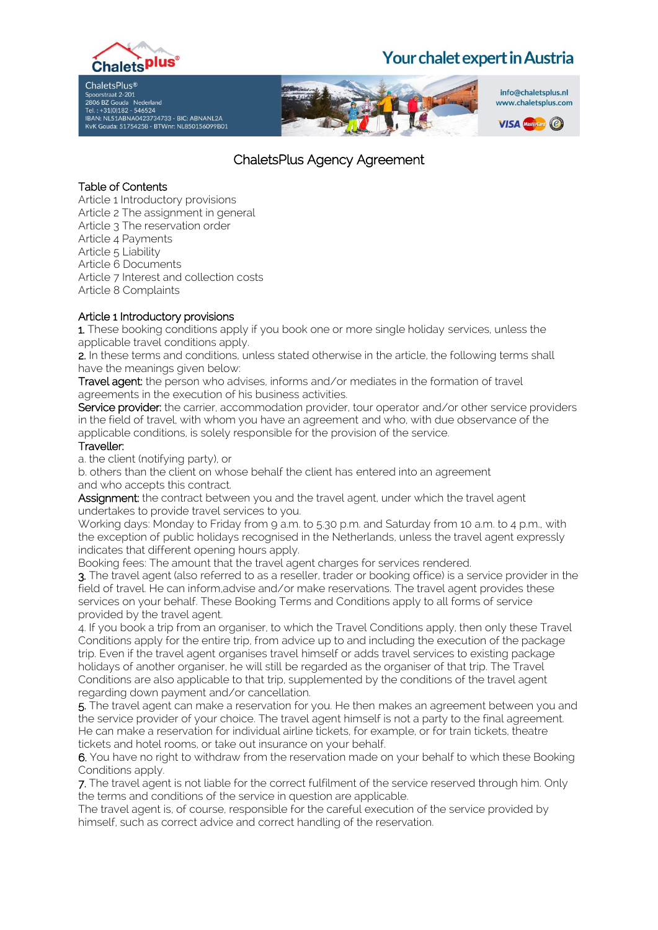

ChaletsPlus® Spoorstraat 2-201<br>2806 BZ Gouda Nederland<br>Tel. : +31(0)182 - 546524 IBAN: NL51ABNA0423734733 - BIC: ABNANL2A KvK Gouda: 51754258 - BTWnr: NL850156099B01



### ChaletsPlus Agency Agreement

### Table of Contents

Article 1 Introductory provisions Article 2 The assignment in general Article 3 The reservation order Article 4 Payments Article 5 Liability Article 6 Documents Article 7 Interest and collection costs Article 8 Complaints

### Article 1 Introductory provisions

1. These booking conditions apply if you book one or more single holiday services, unless the applicable travel conditions apply.

2. In these terms and conditions, unless stated otherwise in the article, the following terms shall have the meanings given below:

Travel agent: the person who advises, informs and/or mediates in the formation of travel agreements in the execution of his business activities.

Service provider: the carrier, accommodation provider, tour operator and/or other service providers in the field of travel, with whom you have an agreement and who, with due observance of the applicable conditions, is solely responsible for the provision of the service.

#### Traveller:

a. the client (notifying party), or

b. others than the client on whose behalf the client has entered into an agreement and who accepts this contract.

Assignment: the contract between you and the travel agent, under which the travel agent undertakes to provide travel services to you.

Working days: Monday to Friday from 9 a.m. to 5.30 p.m. and Saturday from 10 a.m. to 4 p.m., with the exception of public holidays recognised in the Netherlands, unless the travel agent expressly indicates that different opening hours apply.

Booking fees: The amount that the travel agent charges for services rendered.

3. The travel agent (also referred to as a reseller, trader or booking office) is a service provider in the field of travel. He can inform,advise and/or make reservations. The travel agent provides these services on your behalf. These Booking Terms and Conditions apply to all forms of service provided by the travel agent.

4. If you book a trip from an organiser, to which the Travel Conditions apply, then only these Travel Conditions apply for the entire trip, from advice up to and including the execution of the package trip. Even if the travel agent organises travel himself or adds travel services to existing package holidays of another organiser, he will still be regarded as the organiser of that trip. The Travel Conditions are also applicable to that trip, supplemented by the conditions of the travel agent regarding down payment and/or cancellation.

5. The travel agent can make a reservation for you. He then makes an agreement between you and the service provider of your choice. The travel agent himself is not a party to the final agreement. He can make a reservation for individual airline tickets, for example, or for train tickets, theatre tickets and hotel rooms, or take out insurance on your behalf.

6. You have no right to withdraw from the reservation made on your behalf to which these Booking Conditions apply.

7. The travel agent is not liable for the correct fulfilment of the service reserved through him. Only the terms and conditions of the service in question are applicable.

The travel agent is, of course, responsible for the careful execution of the service provided by himself, such as correct advice and correct handling of the reservation.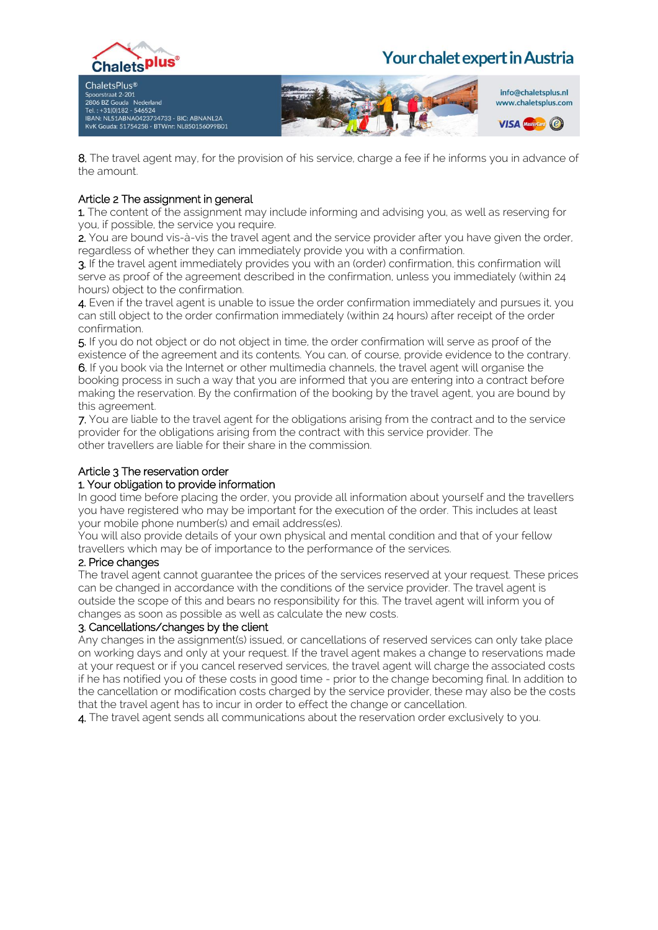

ChaletsPlus® Spoorstraat 2-201<br>2806 BZ Gouda Nederland<br>Tel. : +31(0)182 - 546524 IBAN: NL51ABNA0423734733 - BIC: ABNANL2A KvK Gouda: 51754258 - BTWnr: NL850156099B01



8. The travel agent may, for the provision of his service, charge a fee if he informs you in advance of the amount.

#### Article 2 The assignment in general

1. The content of the assignment may include informing and advising you, as well as reserving for you, if possible, the service you require.

2. You are bound vis-à-vis the travel agent and the service provider after you have given the order, regardless of whether they can immediately provide you with a confirmation.

3. If the travel agent immediately provides you with an (order) confirmation, this confirmation will serve as proof of the agreement described in the confirmation, unless you immediately (within 24 hours) object to the confirmation.

4. Even if the travel agent is unable to issue the order confirmation immediately and pursues it, you can still object to the order confirmation immediately (within 24 hours) after receipt of the order confirmation.

5. If you do not object or do not object in time, the order confirmation will serve as proof of the existence of the agreement and its contents. You can, of course, provide evidence to the contrary. 6. If you book via the Internet or other multimedia channels, the travel agent will organise the booking process in such a way that you are informed that you are entering into a contract before making the reservation. By the confirmation of the booking by the travel agent, you are bound by this agreement.

7. You are liable to the travel agent for the obligations arising from the contract and to the service provider for the obligations arising from the contract with this service provider. The other travellers are liable for their share in the commission.

#### Article 3 The reservation order

#### 1. Your obligation to provide information

In good time before placing the order, you provide all information about yourself and the travellers you have registered who may be important for the execution of the order. This includes at least your mobile phone number(s) and email address(es).

You will also provide details of your own physical and mental condition and that of your fellow travellers which may be of importance to the performance of the services.

#### 2. Price changes

The travel agent cannot guarantee the prices of the services reserved at your request. These prices can be changed in accordance with the conditions of the service provider. The travel agent is outside the scope of this and bears no responsibility for this. The travel agent will inform you of changes as soon as possible as well as calculate the new costs.

#### 3. Cancellations/changes by the client

Any changes in the assignment(s) issued, or cancellations of reserved services can only take place on working days and only at your request. If the travel agent makes a change to reservations made at your request or if you cancel reserved services, the travel agent will charge the associated costs if he has notified you of these costs in good time - prior to the change becoming final. In addition to the cancellation or modification costs charged by the service provider, these may also be the costs that the travel agent has to incur in order to effect the change or cancellation.

4. The travel agent sends all communications about the reservation order exclusively to you.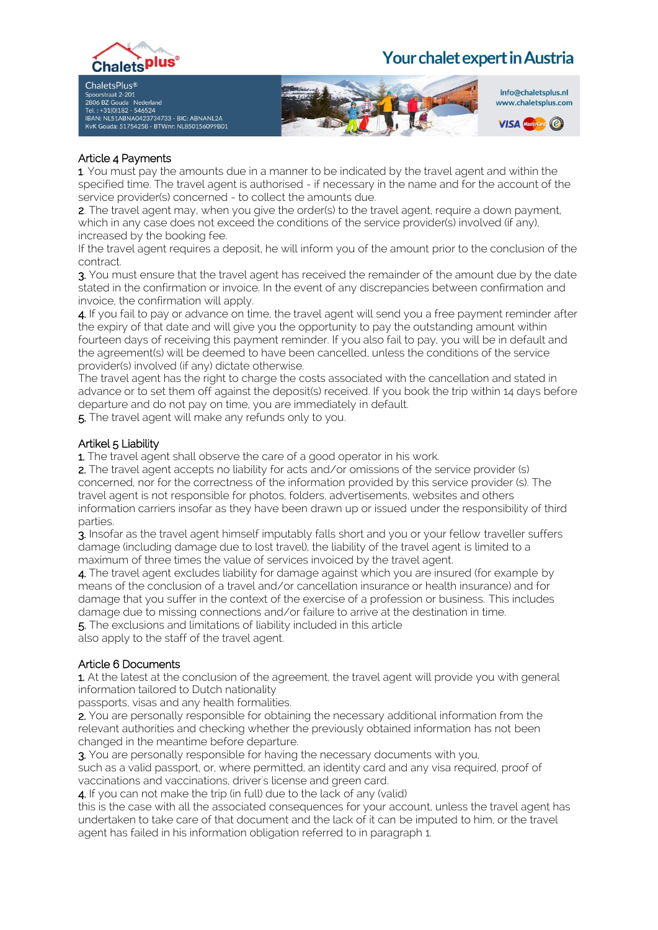

ChaletsPlus® Spoorstraat 2-201<br>2806 BZ Gouda Nederland<br>Tel. : +31(0)182 - 546524 IBAN: NL51ABNA0423734733 - BIC: ABNANL2A KvK Gouda: 51754258 - BTWnr: NL850156099B01





#### Article 4 Payments

1. You must pay the amounts due in a manner to be indicated by the travel agent and within the specified time. The travel agent is authorised - if necessary in the name and for the account of the service provider(s) concerned - to collect the amounts due.

2. The travel agent may, when you give the order(s) to the travel agent, require a down payment, which in any case does not exceed the conditions of the service provider(s) involved (if any), increased by the booking fee.

If the travel agent requires a deposit, he will inform you of the amount prior to the conclusion of the contract.

3. You must ensure that the travel agent has received the remainder of the amount due by the date stated in the confirmation or invoice. In the event of any discrepancies between confirmation and invoice, the confirmation will apply.

4. If you fail to pay or advance on time, the travel agent will send you a free payment reminder after the expiry of that date and will give you the opportunity to pay the outstanding amount within fourteen days of receiving this payment reminder. If you also fail to pay, you will be in default and the agreement(s) will be deemed to have been cancelled, unless the conditions of the service provider(s) involved (if any) dictate otherwise.

The travel agent has the right to charge the costs associated with the cancellation and stated in advance or to set them off against the deposit(s) received. If you book the trip within 14 days before departure and do not pay on time, you are immediately in default.

5. The travel agent will make any refunds only to you.

#### Artikel 5 Liability

1. The travel agent shall observe the care of a good operator in his work.

2. The travel agent accepts no liability for acts and/or omissions of the service provider (s) concerned, nor for the correctness of the information provided by this service provider (s). The travel agent is not responsible for photos, folders, advertisements, websites and others information carriers insofar as they have been drawn up or issued under the responsibility of third parties.

3. Insofar as the travel agent himself imputably falls short and you or your fellow traveller suffers damage (including damage due to lost travel), the liability of the travel agent is limited to a maximum of three times the value of services invoiced by the travel agent.

4. The travel agent excludes liability for damage against which you are insured (for example by means of the conclusion of a travel and/or cancellation insurance or health insurance) and for damage that you suffer in the context of the exercise of a profession or business. This includes damage due to missing connections and/or failure to arrive at the destination in time.

5. The exclusions and limitations of liability included in this article

also apply to the staff of the travel agent.

#### Article 6 Documents

1. At the latest at the conclusion of the agreement, the travel agent will provide you with general information tailored to Dutch nationality

passports, visas and any health formalities.

2. You are personally responsible for obtaining the necessary additional information from the relevant authorities and checking whether the previously obtained information has not been changed in the meantime before departure.

3. You are personally responsible for having the necessary documents with you,

such as a valid passport, or, where permitted, an identity card and any visa required, proof of vaccinations and vaccinations, driver's license and green card.

4. If you can not make the trip (in full) due to the lack of any (valid)

this is the case with all the associated consequences for your account, unless the travel agent has undertaken to take care of that document and the lack of it can be imputed to him, or the travel agent has failed in his information obligation referred to in paragraph 1.